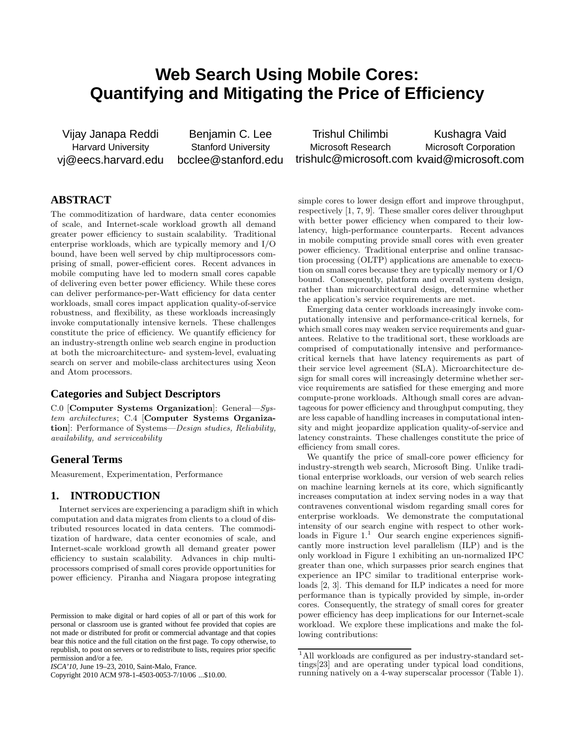# **Web Search Using Mobile Cores: Quantifying and Mitigating the Price of Efficiency**

Vijay Janapa Reddi Harvard University vj@eecs.harvard.edu

Benjamin C. Lee Stanford University bcclee@stanford.edu

Trishul Chilimbi Microsoft Research trishulc@microsoft.com kvaid@microsoft.com Kushagra Vaid Microsoft Corporation

# **ABSTRACT**

The commoditization of hardware, data center economies of scale, and Internet-scale workload growth all demand greater power efficiency to sustain scalability. Traditional enterprise workloads, which are typically memory and I/O bound, have been well served by chip multiprocessors comprising of small, power-efficient cores. Recent advances in mobile computing have led to modern small cores capable of delivering even better power efficiency. While these cores can deliver performance-per-Watt efficiency for data center workloads, small cores impact application quality-of-service robustness, and flexibility, as these workloads increasingly invoke computationally intensive kernels. These challenges constitute the price of efficiency. We quantify efficiency for an industry-strength online web search engine in production at both the microarchitecture- and system-level, evaluating search on server and mobile-class architectures using Xeon and Atom processors.

# **Categories and Subject Descriptors**

C.0 [Computer Systems Organization]: General—System architectures; C.4 [Computer Systems Organization]: Performance of Systems—Design studies, Reliability, availability, and serviceability

## **General Terms**

Measurement, Experimentation, Performance

## **1. INTRODUCTION**

Internet services are experiencing a paradigm shift in which computation and data migrates from clients to a cloud of distributed resources located in data centers. The commoditization of hardware, data center economies of scale, and Internet-scale workload growth all demand greater power efficiency to sustain scalability. Advances in chip multiprocessors comprised of small cores provide opportunities for power efficiency. Piranha and Niagara propose integrating

Copyright 2010 ACM 978-1-4503-0053-7/10/06 ...\$10.00.

simple cores to lower design effort and improve throughput, respectively [1, 7, 9]. These smaller cores deliver throughput with better power efficiency when compared to their lowlatency, high-performance counterparts. Recent advances in mobile computing provide small cores with even greater power efficiency. Traditional enterprise and online transaction processing (OLTP) applications are amenable to execution on small cores because they are typically memory or I/O bound. Consequently, platform and overall system design, rather than microarchitectural design, determine whether the application's service requirements are met.

Emerging data center workloads increasingly invoke computationally intensive and performance-critical kernels, for which small cores may weaken service requirements and guarantees. Relative to the traditional sort, these workloads are comprised of computationally intensive and performancecritical kernels that have latency requirements as part of their service level agreement (SLA). Microarchitecture design for small cores will increasingly determine whether service requirements are satisfied for these emerging and more compute-prone workloads. Although small cores are advantageous for power efficiency and throughput computing, they are less capable of handling increases in computational intensity and might jeopardize application quality-of-service and latency constraints. These challenges constitute the price of efficiency from small cores.

We quantify the price of small-core power efficiency for industry-strength web search, Microsoft Bing. Unlike traditional enterprise workloads, our version of web search relies on machine learning kernels at its core, which significantly increases computation at index serving nodes in a way that contravenes conventional wisdom regarding small cores for enterprise workloads. We demonstrate the computational intensity of our search engine with respect to other workloads in Figure  $1<sup>1</sup>$  Our search engine experiences significantly more instruction level parallelism (ILP) and is the only workload in Figure 1 exhibiting an un-normalized IPC greater than one, which surpasses prior search engines that experience an IPC similar to traditional enterprise workloads [2, 3]. This demand for ILP indicates a need for more performance than is typically provided by simple, in-order cores. Consequently, the strategy of small cores for greater power efficiency has deep implications for our Internet-scale workload. We explore these implications and make the following contributions:

Permission to make digital or hard copies of all or part of this work for personal or classroom use is granted without fee provided that copies are not made or distributed for profit or commercial advantage and that copies bear this notice and the full citation on the first page. To copy otherwise, to republish, to post on servers or to redistribute to lists, requires prior specific permission and/or a fee.

*ISCA'10,* June 19–23, 2010, Saint-Malo, France.

<sup>&</sup>lt;sup>1</sup>All workloads are configured as per industry-standard settings[23] and are operating under typical load conditions, running natively on a 4-way superscalar processor (Table 1).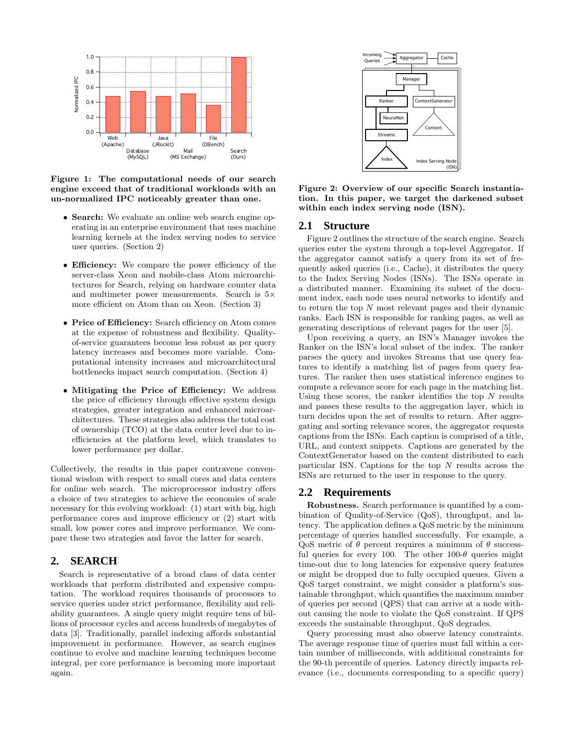

Figure 1: The computational needs of our search engine exceed that of traditional workloads with an un-normalized IPC noticeably greater than one.

- Search: We evaluate an online web search engine operating in an enterprise environment that uses machine learning kernels at the index serving nodes to service user queries. (Section 2)
- Efficiency: We compare the power efficiency of the server-class Xeon and mobile-class Atom microarchitectures for Search, relying on hardware counter data and multimeter power measurements. Search is 5× more efficient on Atom than on Xeon. (Section 3)
- Price of Efficiency: Search efficiency on Atom comes at the expense of robustness and flexibility. Qualityof-service guarantees become less robust as per query latency increases and becomes more variable. Computational intensity increases and microarchitectural bottlenecks impact search computation. (Section 4)
- Mitigating the Price of Efficiency: We address the price of efficiency through effective system design strategies, greater integration and enhanced microarchitectures. These strategies also address the total cost of ownership (TCO) at the data center level due to inefficiencies at the platform level, which translates to lower performance per dollar.

Collectively, the results in this paper contravene conventional wisdom with respect to small cores and data centers for online web search. The microprocessor industry offers a choice of two strategies to achieve the economies of scale necessary for this evolving workload: (1) start with big, high performance cores and improve efficiency or (2) start with small, low power cores and improve performance. We compare these two strategies and favor the latter for search.

## **2. SEARCH**

Search is representative of a broad class of data center workloads that perform distributed and expensive computation. The workload requires thousands of processors to service queries under strict performance, flexibility and reliability guarantees. A single query might require tens of billions of processor cycles and access hundreds of megabytes of data [3]. Traditionally, parallel indexing affords substantial improvement in performance. However, as search engines continue to evolve and machine learning techniques become integral, per core performance is becoming more important again.



Figure 2: Overview of our specific Search instantiation. In this paper, we target the darkened subset within each index serving node (ISN).

#### **2.1 Structure**

Figure 2 outlines the structure of the search engine. Search queries enter the system through a top-level Aggregator. If the aggregator cannot satisfy a query from its set of frequently asked queries (i.e., Cache), it distributes the query to the Index Serving Nodes (ISNs). The ISNs operate in a distributed manner. Examining its subset of the document index, each node uses neural networks to identify and to return the top N most relevant pages and their dynamic ranks. Each ISN is responsible for ranking pages, as well as generating descriptions of relevant pages for the user [5].

Upon receiving a query, an ISN's Manager invokes the Ranker on the ISN's local subset of the index. The ranker parses the query and invokes Streams that use query features to identify a matching list of pages from query features. The ranker then uses statistical inference engines to compute a relevance score for each page in the matching list. Using these scores, the ranker identifies the top  $N$  results and passes these results to the aggregation layer, which in turn decides upon the set of results to return. After aggregating and sorting relevance scores, the aggregator requests captions from the ISNs. Each caption is comprised of a title, URL, and context snippets. Captions are generated by the ContextGenerator based on the content distributed to each particular ISN. Captions for the top  $N$  results across the ISNs are returned to the user in response to the query.

#### **2.2 Requirements**

Robustness. Search performance is quantified by a combination of Quality-of-Service (QoS), throughput, and latency. The application defines a QoS metric by the minimum percentage of queries handled successfully. For example, a QoS metric of  $\theta$  percent requires a minimum of  $\theta$  successful queries for every 100. The other  $100-\theta$  queries might time-out due to long latencies for expensive query features or might be dropped due to fully occupied queues. Given a QoS target constraint, we might consider a platform's sustainable throughput, which quantifies the maximum number of queries per second (QPS) that can arrive at a node without causing the node to violate the QoS constraint. If QPS exceeds the sustainable throughput, QoS degrades.

Query processing must also observe latency constraints. The average response time of queries must fall within a certain number of milliseconds, with additional constraints for the 90-th percentile of queries. Latency directly impacts relevance (i.e., documents corresponding to a specific query)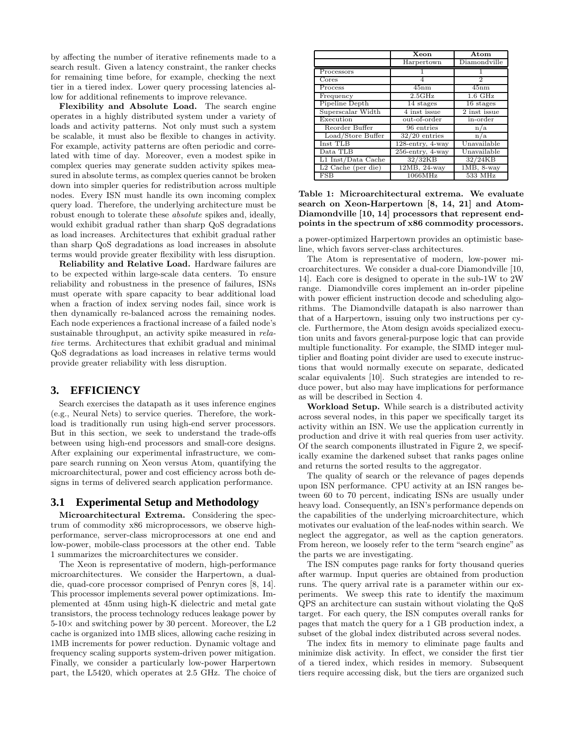by affecting the number of iterative refinements made to a search result. Given a latency constraint, the ranker checks for remaining time before, for example, checking the next tier in a tiered index. Lower query processing latencies allow for additional refinements to improve relevance.

Flexibility and Absolute Load. The search engine operates in a highly distributed system under a variety of loads and activity patterns. Not only must such a system be scalable, it must also be flexible to changes in activity. For example, activity patterns are often periodic and correlated with time of day. Moreover, even a modest spike in complex queries may generate sudden activity spikes measured in absolute terms, as complex queries cannot be broken down into simpler queries for redistribution across multiple nodes. Every ISN must handle its own incoming complex query load. Therefore, the underlying architecture must be robust enough to tolerate these absolute spikes and, ideally, would exhibit gradual rather than sharp QoS degradations as load increases. Architectures that exhibit gradual rather than sharp QoS degradations as load increases in absolute terms would provide greater flexibility with less disruption.

Reliability and Relative Load. Hardware failures are to be expected within large-scale data centers. To ensure reliability and robustness in the presence of failures, ISNs must operate with spare capacity to bear additional load when a fraction of index serving nodes fail, since work is then dynamically re-balanced across the remaining nodes. Each node experiences a fractional increase of a failed node's sustainable throughput, an activity spike measured in relative terms. Architectures that exhibit gradual and minimal QoS degradations as load increases in relative terms would provide greater reliability with less disruption.

## **3. EFFICIENCY**

Search exercises the datapath as it uses inference engines (e.g., Neural Nets) to service queries. Therefore, the workload is traditionally run using high-end server processors. But in this section, we seek to understand the trade-offs between using high-end processors and small-core designs. After explaining our experimental infrastructure, we compare search running on Xeon versus Atom, quantifying the microarchitectural, power and cost efficiency across both designs in terms of delivered search application performance.

### **3.1 Experimental Setup and Methodology**

Microarchitectural Extrema. Considering the spectrum of commodity x86 microprocessors, we observe highperformance, server-class microprocessors at one end and low-power, mobile-class processors at the other end. Table 1 summarizes the microarchitectures we consider.

The Xeon is representative of modern, high-performance microarchitectures. We consider the Harpertown, a dualdie, quad-core processor comprised of Penryn cores [8, 14]. This processor implements several power optimizations. Implemented at 45nm using high-K dielectric and metal gate transistors, the process technology reduces leakage power by  $5-10\times$  and switching power by 30 percent. Moreover, the L2 cache is organized into 1MB slices, allowing cache resizing in 1MB increments for power reduction. Dynamic voltage and frequency scaling supports system-driven power mitigation. Finally, we consider a particularly low-power Harpertown part, the L5420, which operates at 2.5 GHz. The choice of

|                             | Xeon                   | Atom               |  |  |
|-----------------------------|------------------------|--------------------|--|--|
|                             | Harpertown             | Diamondville       |  |  |
| Processors                  |                        | 1                  |  |  |
| $\overline{\mathrm{Cores}}$ |                        | 2                  |  |  |
| Process                     | 45nm                   | 45nm               |  |  |
| Frequency                   | 2.5GHz                 | $1.6\text{ GHz}$   |  |  |
| Pipeline Depth              | 14 stages              | 16 stages          |  |  |
| Superscalar Width           | 4 inst issue           | 2 inst issue       |  |  |
| Execution                   | out-of-order           | in-order           |  |  |
| Reorder Buffer              | 96 entries             | n/a                |  |  |
| Load/Store Buffer           | $32/20$ entries        | n/a                |  |  |
| Inst TLB                    | $128$ -entry, 4-way    | Unavailable        |  |  |
| Data TLB                    | $256$ -entry, $4$ -way | Unavailable        |  |  |
| $L1$ Inst/Data Cache        | 32/32KB                | 32/24KB            |  |  |
| $L2$ Cache (per die)        | $12MB$ , $24$ -way     | $1MB$ , $8$ -way   |  |  |
| FSB                         | 1066MHz                | $533 \mathrm{MHz}$ |  |  |

Table 1: Microarchitectural extrema. We evaluate search on Xeon-Harpertown [8, 14, 21] and Atom-Diamondville [10, 14] processors that represent endpoints in the spectrum of x86 commodity processors.

a power-optimized Harpertown provides an optimistic baseline, which favors server-class architectures.

The Atom is representative of modern, low-power microarchitectures. We consider a dual-core Diamondville [10, 14]. Each core is designed to operate in the sub-1W to 2W range. Diamondville cores implement an in-order pipeline with power efficient instruction decode and scheduling algorithms. The Diamondville datapath is also narrower than that of a Harpertown, issuing only two instructions per cycle. Furthermore, the Atom design avoids specialized execution units and favors general-purpose logic that can provide multiple functionality. For example, the SIMD integer multiplier and floating point divider are used to execute instructions that would normally execute on separate, dedicated scalar equivalents [10]. Such strategies are intended to reduce power, but also may have implications for performance as will be described in Section 4.

Workload Setup. While search is a distributed activity across several nodes, in this paper we specifically target its activity within an ISN. We use the application currently in production and drive it with real queries from user activity. Of the search components illustrated in Figure 2, we specifically examine the darkened subset that ranks pages online and returns the sorted results to the aggregator.

The quality of search or the relevance of pages depends upon ISN performance. CPU activity at an ISN ranges between 60 to 70 percent, indicating ISNs are usually under heavy load. Consequently, an ISN's performance depends on the capabilities of the underlying microarchitecture, which motivates our evaluation of the leaf-nodes within search. We neglect the aggregator, as well as the caption generators. From hereon, we loosely refer to the term "search engine" as the parts we are investigating.

The ISN computes page ranks for forty thousand queries after warmup. Input queries are obtained from production runs. The query arrival rate is a parameter within our experiments. We sweep this rate to identify the maximum QPS an architecture can sustain without violating the QoS target. For each query, the ISN computes overall ranks for pages that match the query for a 1 GB production index, a subset of the global index distributed across several nodes.

The index fits in memory to eliminate page faults and minimize disk activity. In effect, we consider the first tier of a tiered index, which resides in memory. Subsequent tiers require accessing disk, but the tiers are organized such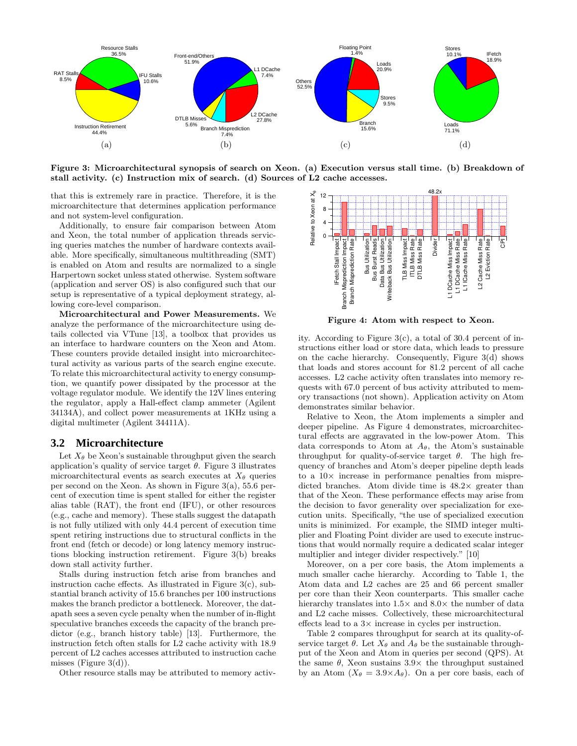

Figure 3: Microarchitectural synopsis of search on Xeon. (a) Execution versus stall time. (b) Breakdown of stall activity. (c) Instruction mix of search. (d) Sources of L2 cache accesses.

that this is extremely rare in practice. Therefore, it is the microarchitecture that determines application performance and not system-level configuration.

Additionally, to ensure fair comparison between Atom and Xeon, the total number of application threads servicing queries matches the number of hardware contexts available. More specifically, simultaneous multithreading (SMT) is enabled on Atom and results are normalized to a single Harpertown socket unless stated otherwise. System software (application and server OS) is also configured such that our setup is representative of a typical deployment strategy, allowing core-level comparison.

Microarchitectural and Power Measurements. We analyze the performance of the microarchitecture using details collected via VTune [13], a toolbox that provides us an interface to hardware counters on the Xeon and Atom. These counters provide detailed insight into microarchitectural activity as various parts of the search engine execute. To relate this microarchitectural activity to energy consumption, we quantify power dissipated by the processor at the voltage regulator module. We identify the 12V lines entering the regulator, apply a Hall-effect clamp ammeter (Agilent 34134A), and collect power measurements at 1KHz using a digital multimeter (Agilent 34411A).

#### **3.2 Microarchitecture**

Let  $X_{\theta}$  be Xeon's sustainable throughput given the search application's quality of service target  $\theta$ . Figure 3 illustrates microarchitectural events as search executes at  $X_{\theta}$  queries per second on the Xeon. As shown in Figure 3(a), 55.6 percent of execution time is spent stalled for either the register alias table (RAT), the front end (IFU), or other resources (e.g., cache and memory). These stalls suggest the datapath is not fully utilized with only 44.4 percent of execution time spent retiring instructions due to structural conflicts in the front end (fetch or decode) or long latency memory instructions blocking instruction retirement. Figure 3(b) breaks down stall activity further.

Stalls during instruction fetch arise from branches and instruction cache effects. As illustrated in Figure  $3(c)$ , substantial branch activity of 15.6 branches per 100 instructions makes the branch predictor a bottleneck. Moreover, the datapath sees a seven cycle penalty when the number of in-flight speculative branches exceeds the capacity of the branch predictor (e.g., branch history table) [13]. Furthermore, the instruction fetch often stalls for L2 cache activity with 18.9 percent of L2 caches accesses attributed to instruction cache misses (Figure  $3(d)$ ).

Other resource stalls may be attributed to memory activ-



Figure 4: Atom with respect to Xeon.

ity. According to Figure 3(c), a total of 30.4 percent of instructions either load or store data, which leads to pressure on the cache hierarchy. Consequently, Figure 3(d) shows that loads and stores account for 81.2 percent of all cache accesses. L2 cache activity often translates into memory requests with 67.0 percent of bus activity attributed to memory transactions (not shown). Application activity on Atom demonstrates similar behavior.

Relative to Xeon, the Atom implements a simpler and deeper pipeline. As Figure 4 demonstrates, microarchitectural effects are aggravated in the low-power Atom. This data corresponds to Atom at  $A_{\theta}$ , the Atom's sustainable throughput for quality-of-service target  $\theta$ . The high frequency of branches and Atom's deeper pipeline depth leads to a  $10\times$  increase in performance penalties from mispredicted branches. Atom divide time is  $48.2 \times$  greater than that of the Xeon. These performance effects may arise from the decision to favor generality over specialization for execution units. Specifically, "the use of specialized execution units is minimized. For example, the SIMD integer multiplier and Floating Point divider are used to execute instructions that would normally require a dedicated scalar integer multiplier and integer divider respectively." [10]

Moreover, on a per core basis, the Atom implements a much smaller cache hierarchy. According to Table 1, the Atom data and L2 caches are 25 and 66 percent smaller per core than their Xeon counterparts. This smaller cache hierarchy translates into  $1.5\times$  and  $8.0\times$  the number of data and L2 cache misses. Collectively, these microarchitectural effects lead to a  $3\times$  increase in cycles per instruction.

Table 2 compares throughput for search at its quality-ofservice target  $\theta$ . Let  $X_{\theta}$  and  $A_{\theta}$  be the sustainable throughput of the Xeon and Atom in queries per second (QPS). At the same  $\theta$ , Xeon sustains 3.9 $\times$  the throughput sustained by an Atom  $(X_{\theta} = 3.9 \times A_{\theta})$ . On a per core basis, each of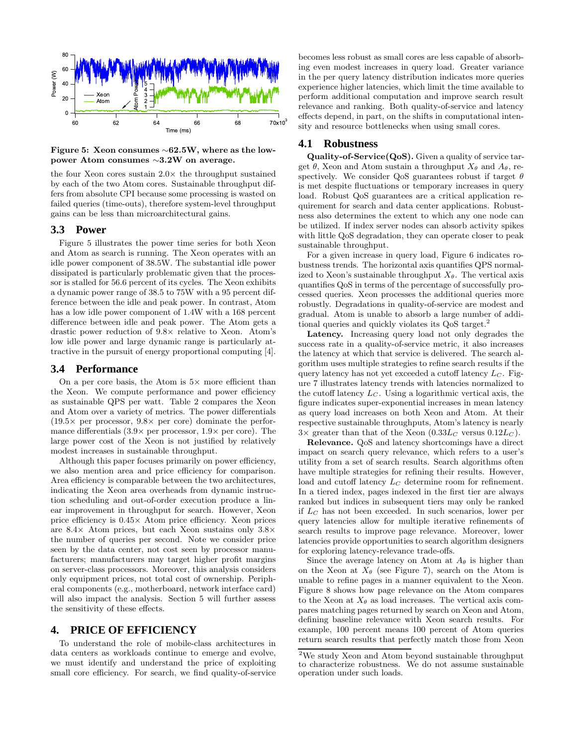

Figure 5: Xeon consumes ∼62.5W, where as the lowpower Atom consumes ∼3.2W on average.

the four Xeon cores sustain  $2.0\times$  the throughput sustained by each of the two Atom cores. Sustainable throughput differs from absolute CPI because some processing is wasted on failed queries (time-outs), therefore system-level throughput gains can be less than microarchitectural gains.

#### **3.3 Power**

80 40 40 20 0 3 yu f east s f ec s f ns s a s a s f i s f i s f i s f i s f i s f i s f i s f i s f i s f i s f i s f i s f i s f i s f i s f i s f i s f i s f i s f i s f i s f i s f i s f i s f i s f i s f i s f i s f i s 20 00 yuw f east of except to the stress of the stress of the stress of the stress of the stress of the stress of the stress of the stress of the stress of the stress of the stress of the stress of the stress of the stress 2000 comparing the comparison of the comparison of the comparison of the comparison of the comparison of the comparison of the comparison of the comparison of the comparison of the comparison of the comparison of the compa 0 70x10。 70x10。 70x10。 70x10。 70x10。 70x10。 70x10。 70x10。 70x10。 70x10。 70x10。 70x10。 70x10。 70x10。 70x10。 70x10 Time (ms)<br>
Time (ms)<br>
Time (ms)<br>
Time (ms)<br>
Time (ms)<br>
The comparison  $\sim$  62.5 W, where as<br>
The Atom consumes  $\sim$  3.2W on average.<br>
ur Xeon cores sustain 2.0× the throughput<br>
ch of the two Atom cores. Sustainable throug  $-62.5V$ <br> $-62.5V$ <br> $0 \times$  the Sustay of the Sustay of the Sustay of the Sustay of the Sustay of 1.<br> $T$  The ematic its cycle of 1.<br> $\times$  The ematic its cycle of 1.<br> $\times$  The Prophet of 1.<br> $\times$  The Prophet of The Prophet of The 43211 C S a c s , ic a e r : " J e f a F r c . e b \_ j v c 8 3211 a.s. a. c. e. a. e. a. e. a. e. a. e. a. e. a. e. a. e. a. e. a. e. e. a. g. e. e. a. e. e. a. e 3 ling on the search of the search of the search of the search of the search of the search of the search of the search of the search of the search of the search of the search of the search of the search of the search of the re sa de side rij de ka ka de la honda ja ka ka de side erij de ka ka ka de la honda ja ka ka ka ka ka ka ka k Atom<br>
Xeon de t<br>
Xeon de t<br>
Solution de text<br>
Solution de text<br>
Solution de partier<br>
Xeon de partier<br>
Xeon de partier<br>
Xeon de partier<br>
Xeon de partier<br>
Xeon de partier<br>
Xeon de partier<br>
Xeon de partier<br>
Xeon de partier<br>
X **Example 18**<br> **Atom Conduct 18**<br>
Atom Conduct 18<br>
Atom Conduct 18<br>
Atom Conduct 18<br>
Atom Conduct 18<br>
Atom Conduct 18<br>
Atom Conduct 18<br>
Atom Conduct 18<br>
Conduct 18<br>
Conduct 18<br>
Conduct 18<br>
Conduct 18<br>
Conduct 18<br>
Conduct 18 Figure 5 illustrates the power time series for both Xeon and Atom as search is running. The Xeon operates with an idle power component of 38.5W. The substantial idle power dissipated is particularly problematic given that the processor is stalled for 56.6 percent of its cycles. The Xeon exhibits a dynamic power range of 38.5 to 75W with a 95 percent difference between the idle and peak power. In contrast, Atom has a low idle power component of 1.4W with a 168 percent difference between idle and peak power. The Atom gets a drastic power reduction of 9.8× relative to Xeon. Atom's low idle power and large dynamic range is particularly attractive in the pursuit of energy proportional computing [4].

#### **3.4 Performance**

On a per core basis, the Atom is  $5\times$  more efficient than the Xeon. We compute performance and power efficiency as sustainable QPS per watt. Table 2 compares the Xeon and Atom over a variety of metrics. The power differentials  $(19.5\times$  per processor,  $9.8\times$  per core) dominate the performance differentials  $(3.9 \times$  per processor,  $1.9 \times$  per core). The large power cost of the Xeon is not justified by relatively modest increases in sustainable throughput.

Although this paper focuses primarily on power efficiency, we also mention area and price efficiency for comparison. Area efficiency is comparable between the two architectures, indicating the Xeon area overheads from dynamic instruction scheduling and out-of-order execution produce a linear improvement in throughput for search. However, Xeon price efficiency is 0.45× Atom price efficiency. Xeon prices are 8.4× Atom prices, but each Xeon sustains only 3.8× the number of queries per second. Note we consider price seen by the data center, not cost seen by processor manufacturers; manufacturers may target higher profit margins on server-class processors. Moreover, this analysis considers only equipment prices, not total cost of ownership. Peripheral components (e.g., motherboard, network interface card) will also impact the analysis. Section 5 will further assess the sensitivity of these effects.

## **4. PRICE OF EFFICIENCY**

To understand the role of mobile-class architectures in data centers as workloads continue to emerge and evolve, we must identify and understand the price of exploiting small core efficiency. For search, we find quality-of-service

becomes less robust as small cores are less capable of absorbing even modest increases in query load. Greater variance in the per query latency distribution indicates more queries experience higher latencies, which limit the time available to perform additional computation and improve search result relevance and ranking. Both quality-of-service and latency effects depend, in part, on the shifts in computational intensity and resource bottlenecks when using small cores.

#### **4.1 Robustness**

Quality-of-Service(QoS). Given a quality of service target  $\theta$ , Xeon and Atom sustain a throughput  $X_{\theta}$  and  $A_{\theta}$ , respectively. We consider QoS guarantees robust if target  $\theta$ is met despite fluctuations or temporary increases in query load. Robust QoS guarantees are a critical application requirement for search and data center applications. Robustness also determines the extent to which any one node can be utilized. If index server nodes can absorb activity spikes with little QoS degradation, they can operate closer to peak sustainable throughput.

For a given increase in query load, Figure 6 indicates robustness trends. The horizontal axis quantifies QPS normalized to Xeon's sustainable throughput  $X_{\theta}$ . The vertical axis quantifies QoS in terms of the percentage of successfully processed queries. Xeon processes the additional queries more robustly. Degradations in quality-of-service are modest and gradual. Atom is unable to absorb a large number of additional queries and quickly violates its QoS target.<sup>2</sup>

Latency. Increasing query load not only degrades the success rate in a quality-of-service metric, it also increases the latency at which that service is delivered. The search algorithm uses multiple strategies to refine search results if the query latency has not yet exceeded a cutoff latency  $L<sub>C</sub>$ . Figure 7 illustrates latency trends with latencies normalized to the cutoff latency  $L<sub>C</sub>$ . Using a logarithmic vertical axis, the figure indicates super-exponential increases in mean latency as query load increases on both Xeon and Atom. At their respective sustainable throughputs, Atom's latency is nearly  $3\times$  greater than that of the Xeon  $(0.33L_C$  versus  $0.12L_C$ ).

Relevance. QoS and latency shortcomings have a direct impact on search query relevance, which refers to a user's utility from a set of search results. Search algorithms often have multiple strategies for refining their results. However, load and cutoff latency  $L<sub>C</sub>$  determine room for refinement. In a tiered index, pages indexed in the first tier are always ranked but indices in subsequent tiers may only be ranked if  $L_C$  has not been exceeded. In such scenarios, lower per query latencies allow for multiple iterative refinements of search results to improve page relevance. Moreover, lower latencies provide opportunities to search algorithm designers for exploring latency-relevance trade-offs.

Since the average latency on Atom at  $A_{\theta}$  is higher than on the Xeon at  $X_{\theta}$  (see Figure 7), search on the Atom is unable to refine pages in a manner equivalent to the Xeon. Figure 8 shows how page relevance on the Atom compares to the Xeon at  $X_{\theta}$  as load increases. The vertical axis compares matching pages returned by search on Xeon and Atom, defining baseline relevance with Xeon search results. For example, 100 percent means 100 percent of Atom queries return search results that perfectly match those from Xeon

<sup>2</sup>We study Xeon and Atom beyond sustainable throughput to characterize robustness. We do not assume sustainable operation under such loads.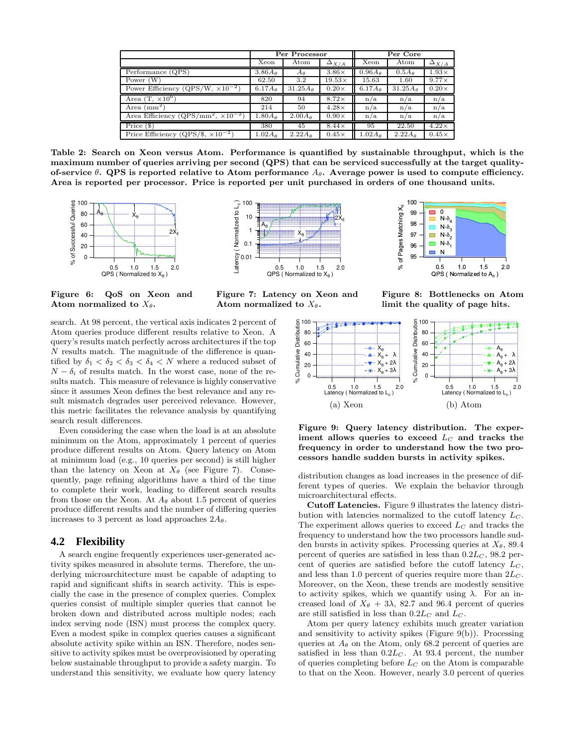|                                                           | Per Processor    |                  |                | Per Core         |                  |                |
|-----------------------------------------------------------|------------------|------------------|----------------|------------------|------------------|----------------|
|                                                           | Xeon             | Atom             | $\Delta_{X/A}$ | Xeon             | Atom             | $\Delta_{X/A}$ |
| Performance (QPS)                                         | $3.86A_{\theta}$ | $A_{\theta}$     | $3.86\times$   | $0.96A_{\theta}$ | $0.5A_{\theta}$  | $1.93\times$   |
| Power $(W)$                                               | 62.50            | 3.2              | $19.53\times$  | 15.63            | 1.60             | $9.77\times$   |
| Power Efficiency (QPS/W, $\times 10^{-2}$ )               | $6.17A_\theta$   | $31.25A_\theta$  | $0.20\times$   | $6.17A_\theta$   | $31.25A_\theta$  | $0.20\times$   |
| Area $(T, \times 10^6)$                                   | 820              | 94               | $8.72\times$   | n/a              | n/a              | n/a            |
| Area $\text{(mm)}^2$                                      | 214              | 50               | $4.28\times$   | n/a              | n/a              | n/a            |
| Area Efficiency (QPS/mm <sup>2</sup> , $\times 10^{-2}$ ) | $1.80A_\theta$   | $2.00A_{\theta}$ | $0.90\times$   | n/a              | n/a              | n/a            |
| Price $(\$)$                                              | 380              | 45               | $8.44\times$   | 95               | 22.50            | $4.22\times$   |
| Price Efficiency (QPS/\$, $\times 10^{-2}$ )              | $1.02A_{\theta}$ | $2.22A_{\theta}$ | $0.45\times$   | $1.02A_{\theta}$ | $2.22A_{\theta}$ | $0.45\times$   |

Table 2: Search on Xeon versus Atom. Performance is quantified by sustainable throughput, which is the maximum number of queries arriving per second (QPS) that can be serviced successfully at the target qualityof-service  $\theta$ . QPS is reported relative to Atom performance  $A_{\theta}$ . Average power is used to compute efficiency. Area is reported per processor. Price is reported per unit purchased in orders of one thousand units.



Figure 6: QoS on Xeon and Atom normalized to  $X_{\theta}$ .



2 $\mathsf{X}_{\scriptscriptstyle{\theta}}$ 

10 100

Figure 7: Latency on Xeon and Atom normalized to  $X_{\theta}$ .



Even considering the case when the load is at an absolute minimum on the Atom, approximately 1 percent of queries produce different results on Atom. Query latency on Atom at minimum load (e.g., 10 queries per second) is still higher than the latency on Xeon at  $X_{\theta}$  (see Figure 7). Consequently, page refining algorithms have a third of the time to complete their work, leading to different search results from those on the Xeon. At  $A_{\theta}$  about 1.5 percent of queries produce different results and the number of differing queries increases to 3 percent as load approaches  $2A_{\theta}$ .

### **4.2 Flexibility**

A search engine frequently experiences user-generated activity spikes measured in absolute terms. Therefore, the underlying microarchitecture must be capable of adapting to rapid and significant shifts in search activity. This is especially the case in the presence of complex queries. Complex queries consist of multiple simpler queries that cannot be broken down and distributed across multiple nodes; each index serving node (ISN) must process the complex query. Even a modest spike in complex queries causes a significant absolute activity spike within an ISN. Therefore, nodes sensitive to activity spikes must be overprovisioned by operating below sustainable throughput to provide a safety margin. To understand this sensitivity, we evaluate how query latency



Figure 8: Bottlenecks on Atom limit the quality of page hits.



Figure 9: Query latency distribution. The experiment allows queries to exceed  $L<sub>C</sub>$  and tracks the frequency in order to understand how the two processors handle sudden bursts in activity spikes.

distribution changes as load increases in the presence of different types of queries. We explain the behavior through microarchitectural effects.

Cutoff Latencies. Figure 9 illustrates the latency distribution with latencies normalized to the cutoff latency  $L_C$ . The experiment allows queries to exceed  $L<sub>C</sub>$  and tracks the frequency to understand how the two processors handle sudden bursts in activity spikes. Processing queries at  $X_{\theta}$ , 89.4 percent of queries are satisfied in less than  $0.2L<sub>C</sub>$ , 98.2 percent of queries are satisfied before the cutoff latency  $L_C$ , and less than 1.0 percent of queries require more than  $2L<sub>C</sub>$ . Moreover, on the Xeon, these trends are modestly sensitive to activity spikes, which we quantify using  $\lambda$ . For an increased load of  $X_{\theta} + 3\lambda$ , 82.7 and 96.4 percent of queries are still satisfied in less than  $0.2L_C$  and  $L_C$ .

Atom per query latency exhibits much greater variation and sensitivity to activity spikes (Figure  $9(b)$ ). Processing queries at  $A_{\theta}$  on the Atom, only 68.2 percent of queries are satisfied in less than  $0.2L<sub>C</sub>$ . At 93.4 percent, the number of queries completing before  $L<sub>C</sub>$  on the Atom is comparable to that on the Xeon. However, nearly 3.0 percent of queries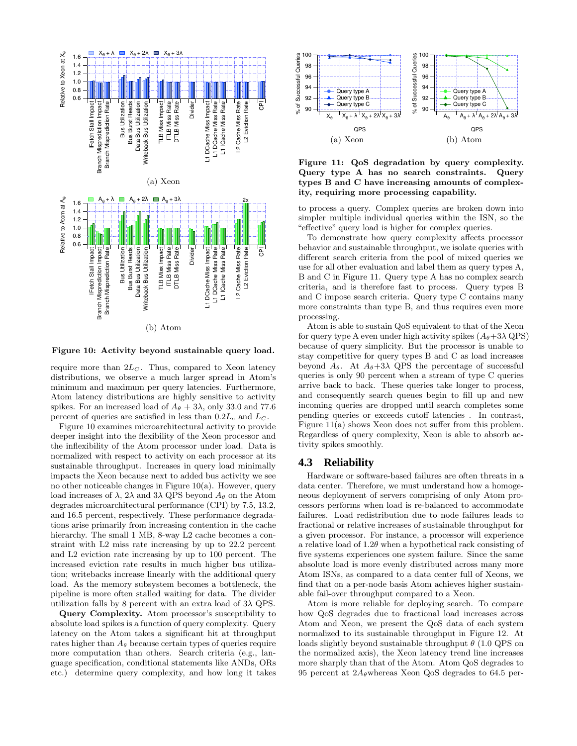

Figure 10: Activity beyond sustainable query load.

require more than  $2L<sub>C</sub>$ . Thus, compared to Xeon latency distributions, we observe a much larger spread in Atom's minimum and maximum per query latencies. Furthermore, Atom latency distributions are highly sensitive to activity spikes. For an increased load of  $A_{\theta} + 3\lambda$ , only 33.0 and 77.6 percent of queries are satisfied in less than  $0.2L_c$  and  $L_c$ .

Figure 10 examines microarchitectural activity to provide deeper insight into the flexibility of the Xeon processor and the inflexibility of the Atom processor under load. Data is normalized with respect to activity on each processor at its sustainable throughput. Increases in query load minimally impacts the Xeon because next to added bus activity we see no other noticeable changes in Figure 10(a). However, query load increases of  $\lambda$ ,  $2\lambda$  and  $3\lambda$  QPS beyond  $A_{\theta}$  on the Atom degrades microarchitectural performance (CPI) by 7.5, 13.2, and 16.5 percent, respectively. These performance degradations arise primarily from increasing contention in the cache hierarchy. The small 1 MB, 8-way L2 cache becomes a constraint with L2 miss rate increasing by up to 22.2 percent and L2 eviction rate increasing by up to 100 percent. The increased eviction rate results in much higher bus utilization; writebacks increase linearly with the additional query load. As the memory subsystem becomes a bottleneck, the pipeline is more often stalled waiting for data. The divider utilization falls by 8 percent with an extra load of  $3\lambda$  QPS.

Query Complexity. Atom processor's susceptibility to absolute load spikes is a function of query complexity. Query latency on the Atom takes a significant hit at throughput rates higher than  $A_{\theta}$  because certain types of queries require more computation than others. Search criteria (e.g., language specification, conditional statements like ANDs, ORs etc.) determine query complexity, and how long it takes



Figure 11: QoS degradation by query complexity. Query type A has no search constraints. Query types B and C have increasing amounts of complexity, requiring more processing capability.

to process a query. Complex queries are broken down into simpler multiple individual queries within the ISN, so the "effective" query load is higher for complex queries.

To demonstrate how query complexity affects processor behavior and sustainable throughput, we isolate queries with different search criteria from the pool of mixed queries we use for all other evaluation and label them as query types A, B and C in Figure 11. Query type A has no complex search criteria, and is therefore fast to process. Query types B and C impose search criteria. Query type C contains many more constraints than type B, and thus requires even more processing.

Atom is able to sustain QoS equivalent to that of the Xeon for query type A even under high activity spikes  $(A_{\theta}+3\lambda$  QPS) because of query simplicity. But the processor is unable to stay competitive for query types B and C as load increases beyond  $A_{\theta}$ . At  $A_{\theta}+3\lambda$  QPS the percentage of successful queries is only 90 percent when a stream of type C queries arrive back to back. These queries take longer to process, and consequently search queues begin to fill up and new incoming queries are dropped until search completes some pending queries or exceeds cutoff latencies . In contrast, Figure 11(a) shows Xeon does not suffer from this problem. Regardless of query complexity, Xeon is able to absorb activity spikes smoothly.

#### **4.3 Reliability**

Hardware or software-based failures are often threats in a data center. Therefore, we must understand how a homogeneous deployment of servers comprising of only Atom processors performs when load is re-balanced to accommodate failures. Load redistribution due to node failures leads to fractional or relative increases of sustainable throughput for a given processor. For instance, a processor will experience a relative load of  $1.2\theta$  when a hypothetical rack consisting of five systems experiences one system failure. Since the same absolute load is more evenly distributed across many more Atom ISNs, as compared to a data center full of Xeons, we find that on a per-node basis Atom achieves higher sustainable fail-over throughput compared to a Xeon.

Atom is more reliable for deploying search. To compare how QoS degrades due to fractional load increases across Atom and Xeon, we present the QoS data of each system normalized to its sustainable throughput in Figure 12. At loads slightly beyond sustainable throughput  $\theta$  (1.0 QPS on the normalized axis), the Xeon latency trend line increases more sharply than that of the Atom. Atom QoS degrades to 95 percent at  $2A_{\theta}$ whereas Xeon QoS degrades to 64.5 per-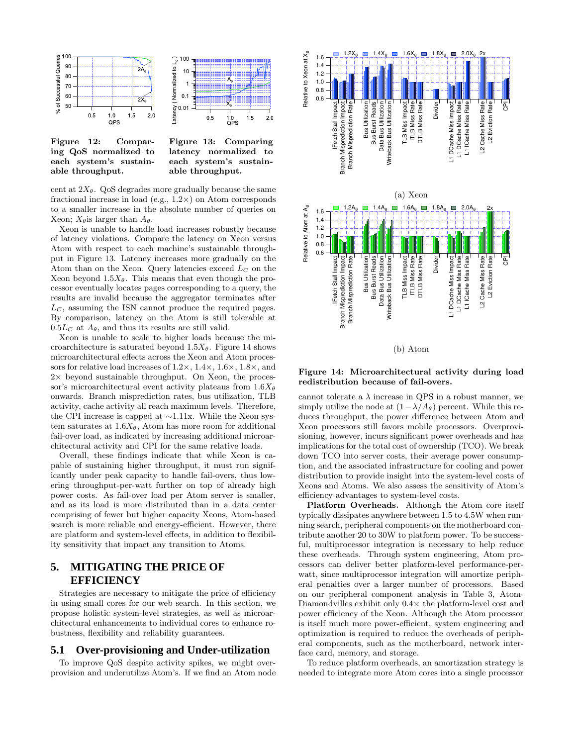



Figure 12: Comparing QoS normalized to each system's sustainable throughput.

Figure 13: Comparing latency normalized to each system's sustainable throughput.

cent at  $2X_{\theta}$ . QoS degrades more gradually because the same fractional increase in load (e.g.,  $1.2 \times$ ) on Atom corresponds to a smaller increase in the absolute number of queries on Xeon;  $X_{\theta}$  is larger than  $A_{\theta}$ .

100 90 80 r as so the control of the control of the control of the same with a second record for some and C 60 u dhe ististicat minimum dilt accord for bis animum dilt accord for bis animum of forms or computed as an ori and the same can allow the same can allow the same can allow the same can allow the same of the same of the same of the recommendation of  $X$  is the same of the recommendation of  $Y$  is the same of the recommendation of  $Y$ pa aided add and an interest and all care of the search of the search of the search of the search of the search of the search of the search of the search of the search of the search of the search of the search of the searc 0.1 - 1 1 1 1 1 1 1 1 1 1 1 1 2 K 3 3 1 1 a 3 3 3 3 3 3 3 3 3 3 3 3 3 4 a 3 3 4 a 3 4 a 3 4 a 3 4 a 3 4 a 3 4 a 3 4 10 1001<br>1001<br>1001<br>1001<br>1001<br>2002<br>10022<br>10022<br>10022<br>10022<br>10022 uding the Contract of the Contract of the Contract of the Contract of the Contract of the Contract of the Contract of the Contract of the Contract of the Contract of the Contract of the Contract of the Suite of the Suite 「Tag U m y s n u u od us 1」 a g n m q u - i . a g n u w m q u - i . a g i s . h . o ? Xeon is unable to handle load increases robustly because of latency violations. Compare the latency on Xeon versus Atom with respect to each machine's sustainable throughput in Figure 13. Latency increases more gradually on the Atom than on the Xeon. Query latencies exceed  $L_C$  on the Xeon beyond  $1.5X_{\theta}$ . This means that even though the processor eventually locates pages corresponding to a query, the results are invalid because the aggregator terminates after  $L<sub>C</sub>$ , assuming the ISN cannot produce the required pages. By comparison, latency on the Atom is still tolerable at  $0.5L_C$  at  $A_{\theta}$ , and thus its results are still valid.

 $QPS$ <br>12: Compar-<br>normalized to<br>stem's sustain-<br>uughput.<br> $\epsilon_{\theta}$ . QoS degrades i<br>increase in load ( $\epsilon_{\theta}$  increase in the<br>is larger than  $A_{\theta}$ ,<br>unable to handle<br>violations. Computed in expansion,  $Q$ <br>non the Xeon. Q<br>n ma Coma Sase created to Sase created the Link of the Link of the Link of the Link of the Link of the Link of the Link of the Link of the Link of the Link of the Link of the Link of the Link of the Link of the Link of the L guenchle rack are lines assemble. The seasonal control of the season of the season of the season of the control of the case of the case of the case of the case of the case of the case of the case of the case of the case of 3. Comparing<br>
1.3 2. Comparing<br>
normalized to<br>
isomorphical to<br>
because the same<br>
Atom corresponds<br>
then corresponds<br>
then corresponds<br>
to a section of the product of the product<br>
to a query, the<br>
product of the product<br> المحمد المحمد المحمد المحمد المحمد المحمد المحمد المحمد المحمد المحمد المحمد المحمد المحمد المحمد المحمد المح<br>والمحمد المحمد المحمد المحمد المحمد المحمد المحمد المحمد المحمد المحمد المحمد المحمد المحمد المحمد المحمد المح Xeon is unable to scale to higher loads because the microarchitecture is saturated beyond  $1.5X_{\theta}$ . Figure 14 shows microarchitectural effects across the Xeon and Atom processors for relative load increases of 1.2×, 1.4×, 1.6×, 1.8×, and  $2\times$  beyond sustainable throughput. On Xeon, the processor's microarchitectural event activity plateaus from  $1.6X_{\theta}$ onwards. Branch misprediction rates, bus utilization, TLB activity, cache activity all reach maximum levels. Therefore, the CPI increase is capped at ∼1.11x. While the Xeon system saturates at  $1.6X_{\theta}$ , Atom has more room for additional fail-over load, as indicated by increasing additional microarchitectural activity and CPI for the same relative loads.

Overall, these findings indicate that while Xeon is capable of sustaining higher throughput, it must run significantly under peak capacity to handle fail-overs, thus lowering throughput-per-watt further on top of already high power costs. As fail-over load per Atom server is smaller, and as its load is more distributed than in a data center comprising of fewer but higher capacity Xeons, Atom-based search is more reliable and energy-efficient. However, there are platform and system-level effects, in addition to flexibility sensitivity that impact any transition to Atoms.

# **5. MITIGATING THE PRICE OF EFFICIENCY**

Strategies are necessary to mitigate the price of efficiency in using small cores for our web search. In this section, we propose holistic system-level strategies, as well as microarchitectural enhancements to individual cores to enhance robustness, flexibility and reliability guarantees.

#### **5.1 Over-provisioning and Under-utilization**

To improve QoS despite activity spikes, we might overprovision and underutilize Atom's. If we find an Atom node



Figure 14: Microarchitectural activity during load redistribution because of fail-overs.

cannot tolerate a  $\lambda$  increase in QPS in a robust manner, we simply utilize the node at  $(1-\lambda/A_{\theta})$  percent. While this reduces throughput, the power difference between Atom and Xeon processors still favors mobile processors. Overprovisioning, however, incurs significant power overheads and has implications for the total cost of ownership (TCO). We break down TCO into server costs, their average power consumption, and the associated infrastructure for cooling and power distribution to provide insight into the system-level costs of Xeons and Atoms. We also assess the sensitivity of Atom's efficiency advantages to system-level costs.

Platform Overheads. Although the Atom core itself typically dissipates anywhere between 1.5 to 4.5W when running search, peripheral components on the motherboard contribute another 20 to 30W to platform power. To be successful, multiprocessor integration is necessary to help reduce these overheads. Through system engineering, Atom processors can deliver better platform-level performance-perwatt, since multiprocessor integration will amortize peripheral penalties over a larger number of processors. Based on our peripheral component analysis in Table 3, Atom-Diamondvilles exhibit only  $0.4\times$  the platform-level cost and power efficiency of the Xeon. Although the Atom processor is itself much more power-efficient, system engineering and optimization is required to reduce the overheads of peripheral components, such as the motherboard, network interface card, memory, and storage.

To reduce platform overheads, an amortization strategy is needed to integrate more Atom cores into a single processor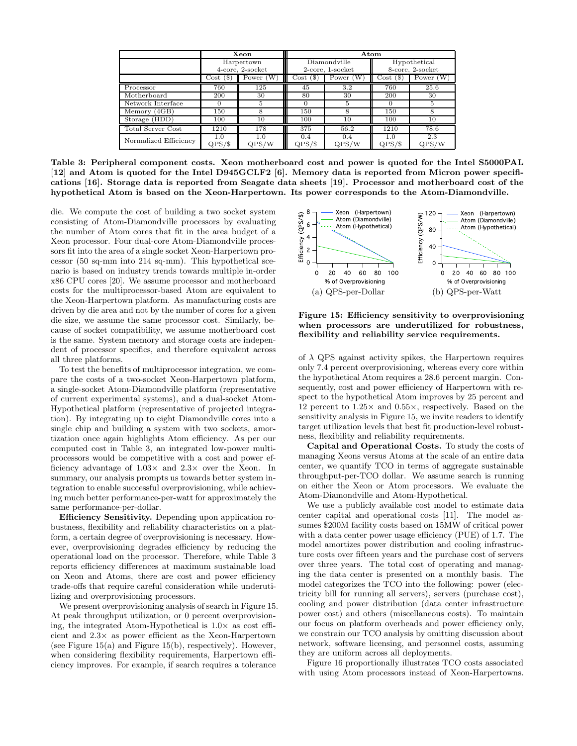|                           |                          | Xeon         | Atom                   |              |                  |              |  |
|---------------------------|--------------------------|--------------|------------------------|--------------|------------------|--------------|--|
|                           | Harpertown               |              | Diamondville           |              | Hypothetical     |              |  |
|                           | 4-core, 2-socket         |              | $2$ -core, $1$ -socket |              | 8-core, 2-socket |              |  |
|                           | Cost (                   | Power (W)    | Cost (<br>Ш            | Power (W)    | $Cost($ \$       | Power (W)    |  |
| Processor                 | 760                      | 125          | 45                     | 3.2          | 760              | 25.6         |  |
| Motherboard               | 200                      | 30           | 80                     | 30           | 200              | 30           |  |
| Network Interface         | $^{\circ}$               | 5            |                        | 5            | 0                | 5            |  |
| Memory $(4\overline{GB})$ | 150                      | 8            | 150                    | 8            | 150              | 8            |  |
| Storage (HDD)             | 100                      | 10           | 100                    | 10           | 100              | 10           |  |
| Total Server Cost         | 1210                     | 178          | 375                    | 56.2         | 1210             | 78.6         |  |
| Normalized Efficiency     | 1.0<br>$\mathrm{QPS}/\$$ | 1.0<br>QPS/W | 0.4<br>QPS/\$          | 0.4<br>QPS/W | 1.0<br>QPS/      | 2.3<br>QPS/W |  |

Table 3: Peripheral component costs. Xeon motherboard cost and power is quoted for the Intel S5000PAL [12] and Atom is quoted for the Intel D945GCLF2 [6]. Memory data is reported from Micron power specifications [16]. Storage data is reported from Seagate data sheets [19]. Processor and motherboard cost of the hypothetical Atom is based on the Xeon-Harpertown. Its power corresponds to the Atom-Diamondville.

die. We compute the cost of building a two socket system consisting of Atom-Diamondville processors by evaluating the number of Atom cores that fit in the area budget of a Xeon processor. Four dual-core Atom-Diamondville processors fit into the area of a single socket Xeon-Harpertown processor (50 sq-mm into 214 sq-mm). This hypothetical scenario is based on industry trends towards multiple in-order x86 CPU cores [20]. We assume processor and motherboard costs for the multiprocessor-based Atom are equivalent to the Xeon-Harpertown platform. As manufacturing costs are driven by die area and not by the number of cores for a given die size, we assume the same processor cost. Similarly, because of socket compatibility, we assume motherboard cost is the same. System memory and storage costs are independent of processor specifics, and therefore equivalent across all three platforms.

To test the benefits of multiprocessor integration, we compare the costs of a two-socket Xeon-Harpertown platform, a single-socket Atom-Diamondville platform (representative of current experimental systems), and a dual-socket Atom-Hypothetical platform (representative of projected integration). By integrating up to eight Diamondville cores into a single chip and building a system with two sockets, amortization once again highlights Atom efficiency. As per our computed cost in Table 3, an integrated low-power multiprocessors would be competitive with a cost and power efficiency advantage of  $1.03\times$  and  $2.3\times$  over the Xeon. In summary, our analysis prompts us towards better system integration to enable successful overprovisioning, while achieving much better performance-per-watt for approximately the same performance-per-dollar.

Efficiency Sensitivity. Depending upon application robustness, flexibility and reliability characteristics on a platform, a certain degree of overprovisioning is necessary. However, overprovisioning degrades efficiency by reducing the operational load on the processor. Therefore, while Table 3 reports efficiency differences at maximum sustainable load on Xeon and Atoms, there are cost and power efficiency trade-offs that require careful consideration while underutilizing and overprovisioning processors.

We present overprovisioning analysis of search in Figure 15. At peak throughput utilization, or 0 percent overprovisioning, the integrated Atom-Hypothetical is  $1.0\times$  as cost efficient and  $2.3\times$  as power efficient as the Xeon-Harpertown (see Figure 15(a) and Figure 15(b), respectively). However, when considering flexibility requirements, Harpertown efficiency improves. For example, if search requires a tolerance



Figure 15: Efficiency sensitivity to overprovisioning when processors are underutilized for robustness, flexibility and reliability service requirements.

of  $\lambda$  QPS against activity spikes, the Harpertown requires only 7.4 percent overprovisioning, whereas every core within the hypothetical Atom requires a 28.6 percent margin. Consequently, cost and power efficiency of Harpertown with respect to the hypothetical Atom improves by 25 percent and 12 percent to  $1.25\times$  and  $0.55\times$ , respectively. Based on the sensitivity analysis in Figure 15, we invite readers to identify target utilization levels that best fit production-level robustness, flexibility and reliability requirements.

Capital and Operational Costs. To study the costs of managing Xeons versus Atoms at the scale of an entire data center, we quantify TCO in terms of aggregate sustainable throughput-per-TCO dollar. We assume search is running on either the Xeon or Atom processors. We evaluate the Atom-Diamondville and Atom-Hypothetical.

We use a publicly available cost model to estimate data center capital and operational costs [11]. The model assumes \$200M facility costs based on 15MW of critical power with a data center power usage efficiency (PUE) of 1.7. The model amortizes power distribution and cooling infrastructure costs over fifteen years and the purchase cost of servers over three years. The total cost of operating and managing the data center is presented on a monthly basis. The model categorizes the TCO into the following: power (electricity bill for running all servers), servers (purchase cost), cooling and power distribution (data center infrastructure power cost) and others (miscellaneous costs). To maintain our focus on platform overheads and power efficiency only, we constrain our TCO analysis by omitting discussion about network, software licensing, and personnel costs, assuming they are uniform across all deployments.

Figure 16 proportionally illustrates TCO costs associated with using Atom processors instead of Xeon-Harpertowns.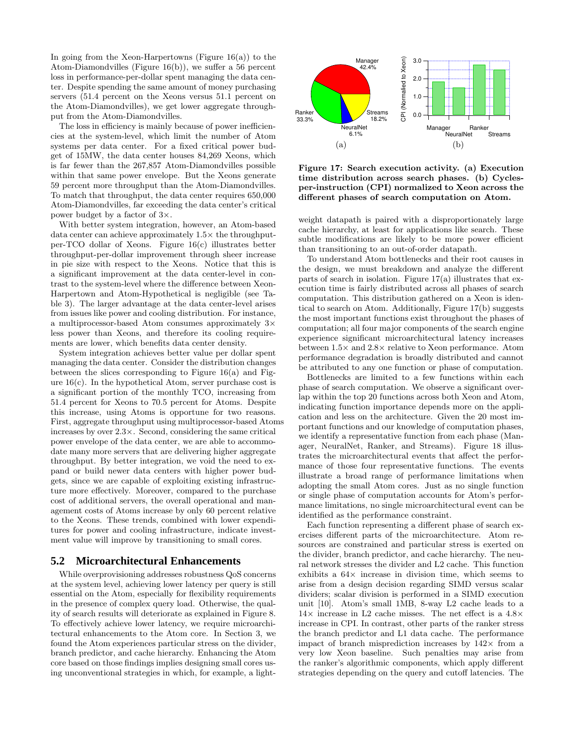In going from the Xeon-Harpertowns (Figure  $16(a)$ ) to the Atom-Diamondvilles (Figure 16(b)), we suffer a 56 percent loss in performance-per-dollar spent managing the data center. Despite spending the same amount of money purchasing servers (51.4 percent on the Xeons versus 51.1 percent on the Atom-Diamondvilles), we get lower aggregate throughput from the Atom-Diamondvilles.

The loss in efficiency is mainly because of power inefficiencies at the system-level, which limit the number of Atom systems per data center. For a fixed critical power budget of 15MW, the data center houses 84,269 Xeons, which is far fewer than the 267,857 Atom-Diamondvilles possible within that same power envelope. But the Xeons generate 59 percent more throughput than the Atom-Diamondvilles. To match that throughput, the data center requires 650,000 Atom-Diamondvilles, far exceeding the data center's critical power budget by a factor of 3×.

With better system integration, however, an Atom-based data center can achieve approximately  $1.5\times$  the throughputper-TCO dollar of Xeons. Figure 16(c) illustrates better throughput-per-dollar improvement through sheer increase in pie size with respect to the Xeons. Notice that this is a significant improvement at the data center-level in contrast to the system-level where the difference between Xeon-Harpertown and Atom-Hypothetical is negligible (see Table 3). The larger advantage at the data center-level arises from issues like power and cooling distribution. For instance, a multiprocessor-based Atom consumes approximately 3× less power than Xeons, and therefore its cooling requirements are lower, which benefits data center density.

System integration achieves better value per dollar spent managing the data center. Consider the distribution changes between the slices corresponding to Figure 16(a) and Figure  $16(c)$ . In the hypothetical Atom, server purchase cost is a significant portion of the monthly TCO, increasing from 51.4 percent for Xeons to 70.5 percent for Atoms. Despite this increase, using Atoms is opportune for two reasons. First, aggregate throughput using multiprocessor-based Atoms increases by over 2.3×. Second, considering the same critical power envelope of the data center, we are able to accommodate many more servers that are delivering higher aggregate throughput. By better integration, we void the need to expand or build newer data centers with higher power budgets, since we are capable of exploiting existing infrastructure more effectively. Moreover, compared to the purchase cost of additional servers, the overall operational and management costs of Atoms increase by only 60 percent relative to the Xeons. These trends, combined with lower expenditures for power and cooling infrastructure, indicate investment value will improve by transitioning to small cores.

### **5.2 Microarchitectural Enhancements**

While overprovisioning addresses robustness QoS concerns at the system level, achieving lower latency per query is still essential on the Atom, especially for flexibility requirements in the presence of complex query load. Otherwise, the quality of search results will deteriorate as explained in Figure 8. To effectively achieve lower latency, we require microarchitectural enhancements to the Atom core. In Section 3, we found the Atom experiences particular stress on the divider, branch predictor, and cache hierarchy. Enhancing the Atom core based on those findings implies designing small cores using unconventional strategies in which, for example, a light-



Figure 17: Search execution activity. (a) Execution time distribution across search phases. (b) Cyclesper-instruction (CPI) normalized to Xeon across the different phases of search computation on Atom.

weight datapath is paired with a disproportionately large cache hierarchy, at least for applications like search. These subtle modifications are likely to be more power efficient than transitioning to an out-of-order datapath.

To understand Atom bottlenecks and their root causes in the design, we must breakdown and analyze the different parts of search in isolation. Figure 17(a) illustrates that execution time is fairly distributed across all phases of search computation. This distribution gathered on a Xeon is identical to search on Atom. Additionally, Figure 17(b) suggests the most important functions exist throughout the phases of computation; all four major components of the search engine experience significant microarchitectural latency increases between 1.5× and 2.8× relative to Xeon performance. Atom performance degradation is broadly distributed and cannot be attributed to any one function or phase of computation.

Bottlenecks are limited to a few functions within each phase of search computation. We observe a significant overlap within the top 20 functions across both Xeon and Atom, indicating function importance depends more on the application and less on the architecture. Given the 20 most important functions and our knowledge of computation phases, we identify a representative function from each phase (Manager, NeuralNet, Ranker, and Streams). Figure 18 illustrates the microarchitectural events that affect the performance of those four representative functions. The events illustrate a broad range of performance limitations when adopting the small Atom cores. Just as no single function or single phase of computation accounts for Atom's performance limitations, no single microarchitectural event can be identified as the performance constraint.

Each function representing a different phase of search exercises different parts of the microarchitecture. Atom resources are constrained and particular stress is exerted on the divider, branch predictor, and cache hierarchy. The neural network stresses the divider and L2 cache. This function exhibits a  $64\times$  increase in division time, which seems to arise from a design decision regarding SIMD versus scalar dividers; scalar division is performed in a SIMD execution unit [10]. Atom's small 1MB, 8-way L2 cache leads to a  $14\times$  increase in L2 cache misses. The net effect is a  $4.8\times$ increase in CPI. In contrast, other parts of the ranker stress the branch predictor and L1 data cache. The performance impact of branch misprediction increases by  $142\times$  from a very low Xeon baseline. Such penalties may arise from the ranker's algorithmic components, which apply different strategies depending on the query and cutoff latencies. The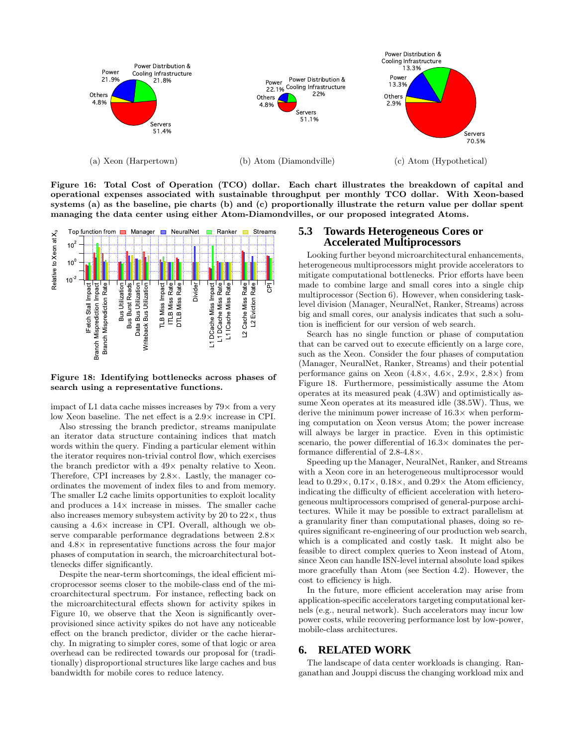

Figure 16: Total Cost of Operation (TCO) dollar. Each chart illustrates the breakdown of capital and operational expenses associated with sustainable throughput per monthly TCO dollar. With Xeon-based systems (a) as the baseline, pie charts (b) and (c) proportionally illustrate the return value per dollar spent managing the data center using either Atom-Diamondvilles, or our proposed integrated Atoms.



Figure 18: Identifying bottlenecks across phases of search using a representative functions.

impact of L1 data cache misses increases by  $79\times$  from a very low Xeon baseline. The net effect is a 2.9× increase in CPI.

Also stressing the branch predictor, streams manipulate an iterator data structure containing indices that match words within the query. Finding a particular element within the iterator requires non-trivial control flow, which exercises the branch predictor with a 49× penalty relative to Xeon. Therefore, CPI increases by 2.8×. Lastly, the manager coordinates the movement of index files to and from memory. The smaller L2 cache limits opportunities to exploit locality and produces a  $14\times$  increase in misses. The smaller cache also increases memory subsystem activity by 20 to  $22\times$ , thus causing a  $4.6\times$  increase in CPI. Overall, although we observe comparable performance degradations between 2.8× and 4.8× in representative functions across the four major phases of computation in search, the microarchitectural bottlenecks differ significantly.

Despite the near-term shortcomings, the ideal efficient microprocessor seems closer to the mobile-class end of the microarchitectural spectrum. For instance, reflecting back on the microarchitectural effects shown for activity spikes in Figure 10, we observe that the Xeon is significantly overprovisioned since activity spikes do not have any noticeable effect on the branch predictor, divider or the cache hierarchy. In migrating to simpler cores, some of that logic or area overhead can be redirected towards our proposal for (traditionally) disproportional structures like large caches and bus bandwidth for mobile cores to reduce latency.

## **5.3 Towards Heterogeneous Cores or Accelerated Multiprocessors**

Looking further beyond microarchitectural enhancements, heterogeneous multiprocessors might provide accelerators to mitigate computational bottlenecks. Prior efforts have been made to combine large and small cores into a single chip multiprocessor (Section 6). However, when considering tasklevel division (Manager, NeuralNet, Ranker, Streams) across big and small cores, our analysis indicates that such a solution is inefficient for our version of web search.

Search has no single function or phase of computation that can be carved out to execute efficiently on a large core, such as the Xeon. Consider the four phases of computation (Manager, NeuralNet, Ranker, Streams) and their potential performance gains on Xeon  $(4.8\times, 4.6\times, 2.9\times, 2.8\times)$  from Figure 18. Furthermore, pessimistically assume the Atom operates at its measured peak (4.3W) and optimistically assume Xeon operates at its measured idle (38.5W). Thus, we derive the minimum power increase of  $16.3\times$  when performing computation on Xeon versus Atom; the power increase will always be larger in practice. Even in this optimistic scenario, the power differential of  $16.3\times$  dominates the performance differential of 2.8-4.8×.

Speeding up the Manager, NeuralNet, Ranker, and Streams with a Xeon core in an heterogeneous multiprocessor would lead to  $0.29 \times$ ,  $0.17 \times$ ,  $0.18 \times$ , and  $0.29 \times$  the Atom efficiency, indicating the difficulty of efficient acceleration with heterogeneous multiprocessors comprised of general-purpose architectures. While it may be possible to extract parallelism at a granularity finer than computational phases, doing so requires significant re-engineering of our production web search, which is a complicated and costly task. It might also be feasible to direct complex queries to Xeon instead of Atom, since Xeon can handle ISN-level internal absolute load spikes more gracefully than Atom (see Section 4.2). However, the cost to efficiency is high.

In the future, more efficient acceleration may arise from application-specific accelerators targeting computational kernels (e.g., neural network). Such accelerators may incur low power costs, while recovering performance lost by low-power, mobile-class architectures.

## **6. RELATED WORK**

The landscape of data center workloads is changing. Ranganathan and Jouppi discuss the changing workload mix and